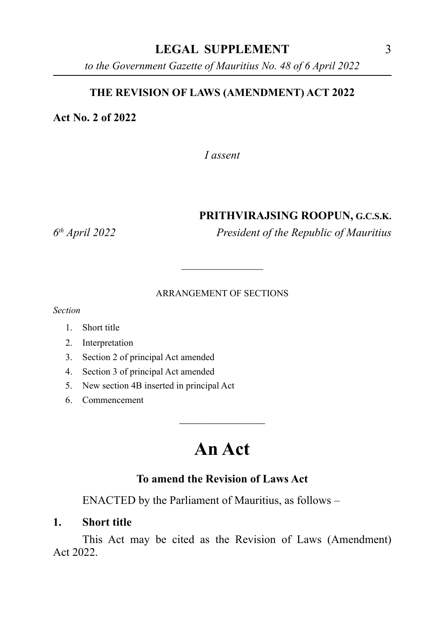### **LEGAL SUPPLEMENT** 3

*to the Government Gazette of Mauritius No. 48 of 6 April 2022*

### **THE REVISION OF LAWS (AMENDMENT) ACT 2022**

### **Act No. 2 of 2022**

*I assent*

#### **PRITHVIRAJSING ROOPUN, G.C.S.K.**

*6th April 2022 President of the Republic of Mauritius*

#### ARRANGEMENT OF SECTIONS

 $\overline{\phantom{a}}$ 

*Section*

- 1. Short title
- 2. Interpretation
- 3. Section 2 of principal Act amended
- 4. Section 3 of principal Act amended
- 5. New section 4B inserted in principal Act
- 6. Commencement

# **An Act**

 $\overline{\phantom{a}}$  , where  $\overline{\phantom{a}}$ 

### **To amend the Revision of Laws Act**

ENACTED by the Parliament of Mauritius, as follows –

#### **1. Short title**

This Act may be cited as the Revision of Laws (Amendment) Act 2022.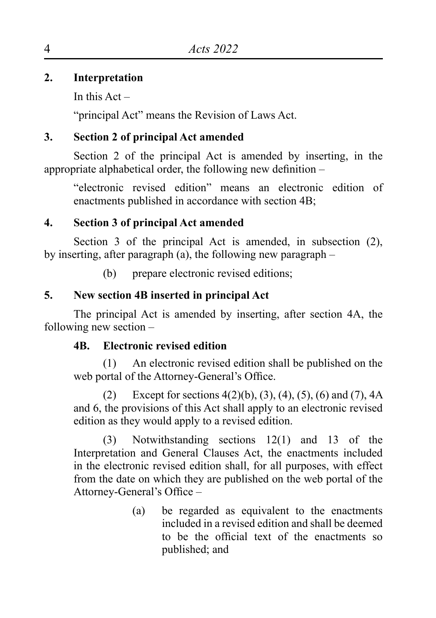# **2. Interpretation**

In this  $Act -$ 

"principal Act" means the Revision of Laws Act.

# **3. Section 2 of principal Act amended**

Section 2 of the principal Act is amended by inserting, in the appropriate alphabetical order, the following new definition –

"electronic revised edition" means an electronic edition of enactments published in accordance with section 4B;

# **4. Section 3 of principal Act amended**

Section 3 of the principal Act is amended, in subsection (2), by inserting, after paragraph (a), the following new paragraph –

(b) prepare electronic revised editions;

# **5. New section 4B inserted in principal Act**

The principal Act is amended by inserting, after section 4A, the following new section –

## **4B. Electronic revised edition**

(1) An electronic revised edition shall be published on the web portal of the Attorney-General's Office.

(2) Except for sections  $4(2)(b)$ ,  $(3)$ ,  $(4)$ ,  $(5)$ ,  $(6)$  and  $(7)$ ,  $4A$ and 6, the provisions of this Act shall apply to an electronic revised edition as they would apply to a revised edition.

(3) Notwithstanding sections 12(1) and 13 of the Interpretation and General Clauses Act, the enactments included in the electronic revised edition shall, for all purposes, with effect from the date on which they are published on the web portal of the Attorney-General's Office –

> (a) be regarded as equivalent to the enactments included in a revised edition and shall be deemed to be the official text of the enactments so published; and